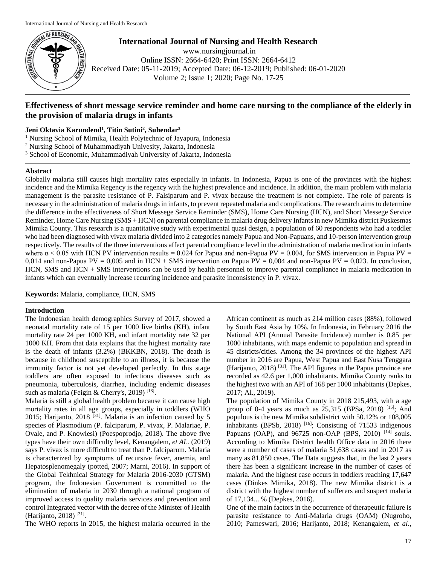

**International Journal of Nursing and Health Research** www.nursingjournal.in Online ISSN: 2664-6420; Print ISSN: 2664-6412 Received Date: 05-11-2019; Accepted Date: 06-12-2019; Published: 06-01-2020 Volume 2; Issue 1; 2020; Page No. 17-25

# **Effectiveness of short message service reminder and home care nursing to the compliance of the elderly in the provision of malaria drugs in infants**

## **Jeni Oktavia Karundend<sup>1</sup> , Titin Sutini<sup>2</sup> , Suhendar<sup>3</sup>**

<sup>1</sup> Nursing School of Mimika, Health Polytechnic of Jayapura, Indonesia

<sup>2</sup> Nursing School of Muhammadiyah Univesity, Jakarta, Indonesia

<sup>3</sup> School of Economic, Muhammadiyah University of Jakarta, Indonesia

## **Abstract**

Globally malaria still causes high mortality rates especially in infants. In Indonesia, Papua is one of the provinces with the highest incidence and the Mimika Regency is the regency with the highest prevalence and incidence. In addition, the main problem with malaria management is the parasite resistance of P. Falsiparum and P. vivax because the treatment is not complete. The role of parents is necessary in the administration of malaria drugs in infants, to prevent repeated malaria and complications. The research aims to determine the difference in the effectiveness of Short Messege Service Reminder (SMS), Home Care Nursing (HCN), and Short Messege Service Reminder, Home Care Nursing (SMS + HCN) on parental compliance in malaria drug delivery Infants in new Mimika district Puskesmas Mimika County. This research is a quantitative study with experimental quasi design, a population of 60 respondents who had a toddler who had been diagnosed with vivax malaria divided into 2 categories namely Papua and Non-Papuans, and 10-person intervention group respectively. The results of the three interventions affect parental compliance level in the administration of malaria medication in infants where  $\alpha$  < 0.05 with HCN PV intervention results = 0.024 for Papua and non-Papua PV = 0.004, for SMS intervention in Papua PV = 0,014 and non-Papua PV = 0,005 and in HCN + SMS intervention on Papua PV = 0,004 and non-Papua PV = 0,023. In conclusion, HCN, SMS and HCN + SMS interventions can be used by health personnel to improve parental compliance in malaria medication in infants which can eventually increase recurring incidence and parasite inconsistency in P. vivax.

**Keywords:** Malaria, compliance, HCN, SMS

## **Introduction**

The Indonesian health demographics Survey of 2017, showed a neonatal mortality rate of 15 per 1000 live births (KH), infant mortality rate 24 per 1000 KH, and infant mortality rate 32 per 1000 KH. From that data explains that the highest mortality rate is the death of infants (3.2%) (BKKBN, 2018). The death is because in childhood susceptible to an illness, it is because the immunity factor is not yet developed perfectly. In this stage toddlers are often exposed to infectious diseases such as pneumonia, tuberculosis, diarrhea, including endemic diseases such as malaria (Feigin & Cherry's, 2019)<sup>[18]</sup>.

Malaria is still a global health problem because it can cause high mortality rates in all age groups, especially in toddlers (WHO 2015; Harijanto, 2018<sup>[31]</sup>. Malaria is an infection caused by 5 species of Plasmodium (P. falciparum, P. vivax, P. Malariae, P. Ovale, and P. Knowlesi) (Poespoprodjo, 2018). The above five types have their own difficulty level, Kenangalem, *et AL.* (2019) says P. vivax is more difficult to treat than P. falciparum. Malaria is characterized by symptoms of recursive fever, anemia, and Hepatosplenomegaly (potted, 2007; Marni, 2016). In support of the Global Tekhnical Strategy for Malaria 2016-2030 (GTSM) program, the Indonesian Government is committed to the elimination of malaria in 2030 through a national program of improved access to quality malaria services and prevention and control Integrated vector with the decree of the Minister of Health (Harijanto, 2018)<sup>[31]</sup>.

The WHO reports in 2015, the highest malaria occurred in the

African continent as much as 214 million cases (88%), followed by South East Asia by 10%. In Indonesia, in February 2016 the National API (Annual Parasite Incidence) number is 0.85 per 1000 inhabitants, with maps endemic to population and spread in 45 districts/cities. Among the 34 provinces of the highest API number in 2016 are Papua, West Papua and East Nusa Tenggara (Harijanto, 2018) <sup>[31]</sup>. The API figures in the Papua province are recorded as 42.6 per 1,000 inhabitants. Mimika County ranks to the highest two with an API of 168 per 1000 inhabitants (Depkes, 2017; Al., 2019).

The population of Mimika County in 2018 215,493, with a age group of 0-4 years as much as  $25,315$  (BPSa,  $2018$ ) <sup>[15]</sup>; And populous is the new Mimika subdistrict with 50.12% or 108,005 inhabitants (BPSb, 2018)  $[16]$ ; Consisting of 71533 indigenous Papuans (OAP), and  $96725$  non-OAP (BPS, 2010) <sup>[14]</sup> souls. According to Mimika District health Office data in 2016 there were a number of cases of malaria 51,638 cases and in 2017 as many as 81,850 cases. The Data suggests that, in the last 2 years there has been a significant increase in the number of cases of malaria. And the highest case occurs in toddlers reaching 17,647 cases (Dinkes Mimika, 2018). The new Mimika district is a district with the highest number of sufferers and suspect malaria of 17,134... % (Depkes, 2016).

One of the main factors in the occurrence of therapeutic failure is parasite resistance to Anti-Malaria drugs (OAM) (Nugroho, 2010; Pameswari, 2016; Harijanto, 2018; Kenangalem, *et al*.,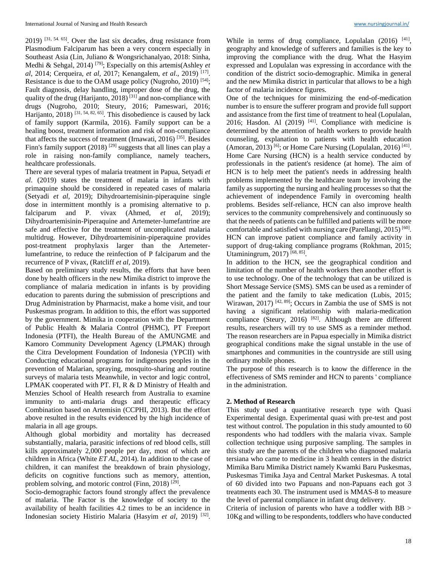$2019$ ) <sup>[31, 54, 65]</sup>. Over the last six decades, drug resistance from Plasmodium Falciparum has been a very concern especially in Southeast Asia (Lin, Juliano & Wongsrichanalyao, 2018: Sinha, Medhi & Sehgal, 2014) [79]; Especially on this artemis(Ashley *et al*, 2014; Cerqueira, *et al*, 2017; Kenangalem, *et al*., 2019) [17] . Resistance is due to the OAM usage policy (Nugroho, 2010) [54]; Fault diagnosis, delay handling, improper dose of the drug, the quality of the drug (Harijanto, 2018)<sup>[31]</sup> and non-compliance with drugs (Nugroho, 2010; Steury, 2016; Pameswari, 2016; Harijanto, 2018)<sup>[31, 54, 82, 65]</sup>. This disobedience is caused by lack of family support (Karmila, 2016). Family support can be a healing boost, treatment information and risk of non-compliance that affects the success of treatment (Irnawati, 2016)<sup>[35]</sup>. Besides Finn's family support (2018)<sup>[29]</sup> suggests that all lines can play a role in raising non-family compliance, namely teachers, healthcare professionals.

There are several types of malaria treatment in Papua, Setyadi *et al*. (2019) states the treatment of malaria in infants with primaquine should be considered in repeated cases of malaria (Setyadi *et al*, 2019); Dihydroartemisinin-piperaquine single dose in intermittent monthly is a promising alternative to p. falciparum and P. vivax (Ahmed, *et al*, 2019); Dihydroartemisinin-Piperaquine and Artemeter-lumefantrine are safe and effective for the treatment of uncomplicated malaria multidrug. However, Dihydroartemisinin-piperaquine provides post-treatment prophylaxis larger than the Artemeterlumefantrine, to reduce the reinfection of P falciparum and the recurrence of P vivax, (Ratcliff *et al*, 2019).

Based on preliminary study results, the efforts that have been done by health officers in the new Mimika district to improve the compliance of malaria medication in infants is by providing education to parents during the submission of prescriptions and Drug Administration by Pharmacist, make a home visit, and tour Puskesmas program. In addition to this, the effort was supported by the government. Mimika in cooperation with the Department of Public Health & Malaria Control (PHMC), PT Freeport Indonesia (PTFI), the Health Bureau of the AMUNGME and Kamoro Community Development Agency (LPMAK) through the Citra Development Foundation of Indonesia (YPCII) with Conducting educational programs for indigenous peoples in the prevention of Malarian, spraying, mosquito-sharing and routine surveys of malaria tests Meanwhile, in vector and logic control, LPMAK cooperated with PT. FI, R & D Ministry of Health and Menzies School of Health research from Australia to examine immunity to anti-malaria drugs and therapeutic efficacy Combination based on Artemisin (CCPHI, 2013). But the effort above resulted in the results evidenced by the high incidence of malaria in all age groups.

Although global morbidity and mortality has decreased substantially, malaria, parasitic infections of red blood cells, still kills approximately 2,000 people per day, most of which are children in Africa (White *ET AL*, 2014). In addition to the case of children, it can manifest the breakdown of brain physiology, deficits on cognitive functions such as memory, attention, problem solving, and motoric control (Finn, 2018)<sup>[29]</sup>.

Socio-demographic factors found strongly affect the prevalence of malaria. The Factor is the knowledge of society to the availability of health facilities 4.2 times to be an incidence in Indonesian society Histirio Malaria (Hasyim *et al*, 2019) [32] .

While in terms of drug compliance, Lopulalan  $(2016)$ <sup>[41]</sup>, geography and knowledge of sufferers and families is the key to improving the compliance with the drug. What the Hasyim expressed and Lopulalan was expressing in accordance with the condition of the district socio-demographic. Mimika in general and the new Mimika district in particular that allows to be a high factor of malaria incidence figures.

One of the techniques for minimizing the end-of-medication number is to ensure the sufferer program and provide full support and assistance from the first time of treatment to heal (Lopulalan, 2016; Hasdon. Al  $(2019)$  <sup>[41]</sup>. Compliance with medicine is determined by the attention of health workers to provide health counseling, explanation to patients with health education (Amoran, 2013)<sup>[6]</sup>; or Home Care Nursing (Lopulalan, 2016)<sup>[41]</sup>. Home Care Nursing (HCN) is a health service conducted by professionals in the patient's residence (at home). The aim of HCN is to help meet the patient's needs in addressing health problems implemented by the healthcare team by involving the family as supporting the nursing and healing processes so that the achievement of independence Family in overcoming health problems. Besides self-reliance, HCN can also improve health services to the community comprehensively and continuously so that the needs of patients can be fulfilled and patients will be more comfortable and satisfied with nursing care (Parellangi, 2015)<sup>[60]</sup>. HCN can improve patient compliance and family activity in support of drug-taking compliance programs (Rokhman, 2015; Utaminingrum, 2017)<sup>[68, 85]</sup>.

In addition to the HCN, see the geographical condition and limitation of the number of health workers then another effort is to use technology. One of the technology that can be utilized is Short Message Service (SMS). SMS can be used as a reminder of the patient and the family to take medication (Lubis, 2015; Wirawan, 2017)<sup>[42, 89]</sup>; Occurs in Zambia the use of SMS is not having a significant relationship with malaria-medication compliance (Steury, 2016) [82]. Although there are different results, researchers will try to use SMS as a reminder method. The reason researchers are in Papua especially in Mimika district geographical conditions make the signal unstable in the use of smartphones and communities in the countryside are still using ordinary mobile phones.

The purpose of this research is to know the difference in the effectiveness of SMS reminder and HCN to parents ' compliance in the administration.

## **2. Method of Research**

This study used a quantitative research type with Quasi Experimental design. Experimental quasi with pre-test and post test without control. The population in this study amounted to 60 respondents who had toddlers with the malaria vivax. Sample collection technique using purposive sampling. The samples in this study are the parents of the children who diagnosed malaria tersiana who came to medicine in 3 health centers in the district Mimika Baru Mimika District namely Kwamki Baru Puskesmas, Puskesmas Timika Jaya and Central Market Puskesmas. A total of 60 divided into two Papuans and non-Papuans each got 3 treatments each 30. The instrument used is MMAS-8 to measure the level of parental compliance in infant drug delivery.

Criteria of inclusion of parents who have a toddler with BB > 10Kg and willing to be respondents, toddlers who have conducted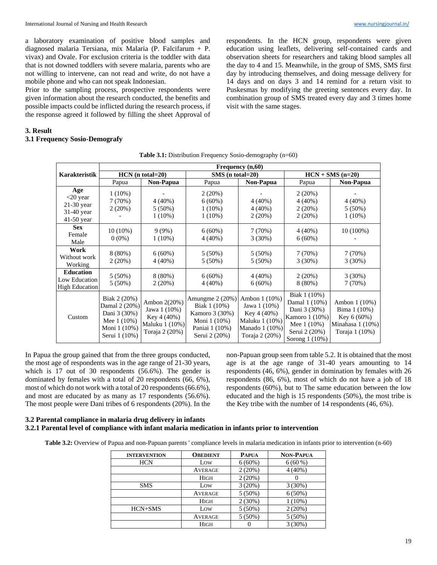a laboratory examination of positive blood samples and diagnosed malaria Tersiana, mix Malaria (P. Falcifarum + P. vivax) and Ovale. For exclusion criteria is the toddler with data that is not downed toddlers with severe malaria, parents who are not willing to intervene, can not read and write, do not have a mobile phone and who can not speak Indonesian.

Prior to the sampling process, prospective respondents were given information about the research conducted, the benefits and possible impacts could be inflicted during the research process, if the response agreed it followed by filling the sheet Approval of

respondents. In the HCN group, respondents were given education using leaflets, delivering self-contained cards and observation sheets for researchers and taking blood samples all the day to 4 and 15. Meanwhile, in the group of SMS, SMS first day by introducing themselves, and doing message delivery for 14 days and on days 3 and 14 remind for a return visit to Puskesmas by modifying the greeting sentences every day. In combination group of SMS treated every day and 3 times home visit with the same stages.

# **3. Result**

## **3.1 Frequency Sosio-Demografy**

|                                                                | Frequency (n,60)                                                                              |                                                                                 |                                                                                                       |                                                                                                    |                                                                                                                      |                                                                                     |  |  |  |
|----------------------------------------------------------------|-----------------------------------------------------------------------------------------------|---------------------------------------------------------------------------------|-------------------------------------------------------------------------------------------------------|----------------------------------------------------------------------------------------------------|----------------------------------------------------------------------------------------------------------------------|-------------------------------------------------------------------------------------|--|--|--|
| Karakteristik                                                  | $HCN$ (n total=20)                                                                            |                                                                                 | $SMS$ (n total=20)                                                                                    |                                                                                                    | $HCN + SMS (n=20)$                                                                                                   |                                                                                     |  |  |  |
|                                                                | Papua                                                                                         | Non-Papua                                                                       | Papua                                                                                                 | Non-Papua                                                                                          | Papua                                                                                                                | Non-Papua                                                                           |  |  |  |
| Age<br>$<$ 20 year<br>21-30 year<br>31-40 year<br>$41-50$ year | $1(10\%)$<br>7(70%)<br>2(20%)                                                                 | $4(40\%)$<br>$5(50\%)$<br>$1(10\%)$                                             | 2(20%)<br>$6(60\%)$<br>$1(10\%)$<br>$1(10\%)$                                                         | $4(40\%)$<br>$4(40\%)$<br>2(20%)                                                                   | 2(20%)<br>$4(40\%)$<br>2(20%)<br>2(20%)                                                                              | $4(40\%)$<br>$5(50\%)$<br>$1(10\%)$                                                 |  |  |  |
| <b>Sex</b><br>Female<br>Male                                   | $10(10\%)$<br>$0(0\%)$                                                                        | $9(9\%)$<br>$1(10\%)$                                                           | $6(60\%)$<br>$4(40\%)$                                                                                | 7(70%)<br>$3(30\%)$                                                                                | $4(40\%)$<br>$6(60\%)$                                                                                               | $10(100\%)$                                                                         |  |  |  |
| Work<br>Without work<br>Working                                | $8(80\%)$<br>2(20%)                                                                           | $6(60\%)$<br>$4(40\%)$                                                          | $5(50\%)$<br>$5(50\%)$                                                                                | $5(50\%)$<br>$5(50\%)$                                                                             | 7(70%)<br>3(30%)                                                                                                     | 7(70%)<br>3(30%)                                                                    |  |  |  |
| <b>Education</b><br>Low Education<br><b>High Education</b>     | $5(50\%)$<br>$5(50\%)$                                                                        | $8(80\%)$<br>2(20%)                                                             | $6(60\%)$<br>$4(40\%)$                                                                                | $4(40\%)$<br>$6(60\%)$                                                                             | 2(20%)<br>$8(80\%)$                                                                                                  | 3(30%)<br>7(70%)                                                                    |  |  |  |
| Custom                                                         | Biak 2 (20%)<br>Damal 2 (20%)<br>Dani 3 (30%)<br>Mee 1 (10%)<br>Moni 1 (10%)<br>Serui 1 (10%) | Ambon 2(20%)<br>Jawa 1 (10%)<br>Key 4 (40%)<br>Maluku 1 (10%)<br>Toraja 2 (20%) | Amungme $2(20%)$<br>Biak 1 (10%)<br>Kamoro 3 (30%)<br>Moni 1 (10%)<br>Paniai 1 (10%)<br>Serui 2 (20%) | Ambon 1 (10%)<br>Jawa 1 (10%)<br>Key 4 (40%)<br>Maluku 1 (10%)<br>Manado 1 (10%)<br>Toraja 2 (20%) | Biak 1 (10%)<br>Damal 1 (10%)<br>Dani 3 (30%)<br>Kamoro 1 (10%)<br>Mee $1(10%)$<br>Serui 2 (20%)<br>Sorong $1(10\%)$ | Ambon 1 (10%)<br>Bima 1 (10%)<br>Key $6(60%)$<br>Minahasa 1 (10%)<br>Toraja 1 (10%) |  |  |  |

**Table 3.1:** Distribution Frequency Sosio-demography (n=60)

In Papua the group gained that from the three groups conducted, the most age of respondents was in the age range of 21-30 years, which is 17 out of 30 respondents (56.6%). The gender is dominated by females with a total of 20 respondents (66, 6%), most of which do not work with a total of 20 respondents (66.6%), and most are educated by as many as 17 respondents (56.6%). The most people were Dani tribes of 6 respondents (20%). In the non-Papuan group seen from table 5.2. It is obtained that the most age is at the age range of 31-40 years amounting to 14 respondents (46, 6%), gender in domination by females with 26 respondents (86, 6%), most of which do not have a job of 18 respondents (60%), but to The same education between the low educated and the high is 15 respondents (50%), the most tribe is the Key tribe with the number of 14 respondents (46, 6%).

## **3.2 Parental compliance in malaria drug delivery in infants 3.2.1 Parental level of compliance with infant malaria medication in infants prior to intervention**

**Table 3.2:** Overview of Papua and non-Papuan parents ' compliance levels in malaria medication in infants prior to intervention (n-60)

| <b>INTERVENTION</b> | <b>OBEDIENT</b> | <b>PAPUA</b> | <b>NON-PAPUA</b> |
|---------------------|-----------------|--------------|------------------|
| <b>HCN</b>          | Low             | $6(60\%)$    | $6(60\%)$        |
|                     | <b>AVERAGE</b>  | 2(20%)       | $4(40\%)$        |
|                     | <b>HIGH</b>     | 2(20%)       |                  |
| <b>SMS</b>          | Low             | 3(20%)       | $3(30\%)$        |
|                     | <b>AVERAGE</b>  | $5(50\%)$    | $6(50\%)$        |
|                     | <b>HIGH</b>     | $2(30\%)$    | $1(10\%)$        |
| HCN+SMS             | Low             | $5(50\%)$    | 2(20%)           |
|                     | <b>AVERAGE</b>  | $5(50\%)$    | $5(50\%)$        |
|                     | <b>HIGH</b>     | O            | 3(30%)           |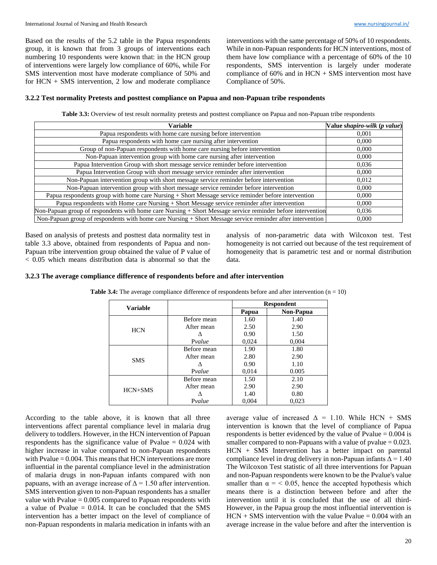Based on the results of the 5.2 table in the Papua respondents group, it is known that from 3 groups of interventions each numbering 10 respondents were known that: in the HCN group of interventions were largely low compliance of 60%, while For SMS intervention most have moderate compliance of 50% and for HCN + SMS intervention, 2 low and moderate compliance interventions with the same percentage of 50% of 10 respondents. While in non-Papuan respondents for HCN interventions, most of them have low compliance with a percentage of 60% of the 10 respondents, SMS intervention is largely under moderate compliance of 60% and in HCN + SMS intervention most have Compliance of 50%.

## **3.2.2 Test normality Pretests and posttest compliance on Papua and non-Papuan tribe respondents**

Table 3.3: Overview of test result normality pretests and posttest compliance on Papua and non-Papuan tribe respondents

| Variable                                                                                                    | Value shapiro-wilk (p value) |
|-------------------------------------------------------------------------------------------------------------|------------------------------|
| Papua respondents with home care nursing before intervention                                                | 0.001                        |
| Papua respondents with home care nursing after intervention                                                 | 0.000                        |
| Group of non-Papuan respondents with home care nursing before intervention                                  | 0.000                        |
| Non-Papuan intervention group with home care nursing after intervention                                     | 0,000                        |
| Papua Intervention Group with short message service reminder before intervention                            | 0,036                        |
| Papua Intervention Group with short message service reminder after intervention                             | 0.000                        |
| Non-Papuan intervention group with short message service reminder before intervention                       | 0,012                        |
| Non-Papuan intervention group with short message service reminder before intervention                       | 0.000                        |
| Papua respondents group with home care Nursing + Short Message service reminder before intervention         | 0.000                        |
| Papua respondents with Home care Nursing + Short Message service reminder after intervention                | 0,000                        |
| Non-Papuan group of respondents with home care Nursing + Short Message service reminder before intervention | 0.036                        |
| Non-Papuan group of respondents with home care Nursing + Short Message service reminder after intervention  | 0.000                        |

Based on analysis of pretests and posttest data normality test in table 3.3 above, obtained from respondents of Papua and non-Papuan tribe intervention group obtained the value of P value of < 0.05 which means distribution data is abnormal so that the

analysis of non-parametric data with Wilcoxon test. Test homogeneity is not carried out because of the test requirement of homogeneity that is parametric test and or normal distribution data.

#### **3.2.3 The average compliance difference of respondents before and after intervention**

|                 |             | <b>Respondent</b> |           |
|-----------------|-------------|-------------------|-----------|
| <b>Variable</b> |             | Papua             | Non-Papua |
|                 | Before mean | 1.60              | 1.40      |
| <b>HCN</b>      | After mean  | 2.50              | 2.90      |
|                 | Λ           | 0.90              | 1.50      |
|                 | Pvalue      | 0,024             | 0,004     |
|                 | Before mean | 1.90              | 1.80      |
| <b>SMS</b>      | After mean  | 2.80              | 2.90      |
|                 |             | 0.90              | 1.10      |
|                 | Pvalue      | 0,014             | 0.005     |
|                 | Before mean | 1.50              | 2.10      |
| $HCN+SMS$       | After mean  | 2.90              | 2.90      |
|                 |             | 1.40              | 0.80      |
|                 | Pvalue      | 0.004             | 0.023     |

**Table 3.4:** The average compliance difference of respondents before and after intervention (n = 10)

According to the table above, it is known that all three interventions affect parental compliance level in malaria drug delivery to toddlers. However, in the HCN intervention of Papuan respondents has the significance value of Pvalue  $= 0.024$  with higher increase in value compared to non-Papuan respondents with Pvalue  $= 0.004$ . This means that HCN interventions are more influential in the parental compliance level in the administration of malaria drugs in non-Papuan infants compared with non papuans, with an average increase of  $\Delta = 1.50$  after intervention. SMS intervention given to non-Papuan respondents has a smaller value with Pvalue  $= 0.005$  compared to Papuan respondents with a value of Pvalue  $= 0.014$ . It can be concluded that the SMS intervention has a better impact on the level of compliance of non-Papuan respondents in malaria medication in infants with an average value of increased  $\Delta = 1.10$ . While HCN + SMS intervention is known that the level of compliance of Papua respondents is better evidenced by the value of Pvalue  $= 0.004$  is smaller compared to non-Papuans with a value of pvalue  $= 0.023$ . HCN + SMS Intervention has a better impact on parental compliance level in drug delivery in non-Papuan infants  $\overline{\Delta} = 1.40$ The Wilcoxon Test statistic of all three interventions for Papuan and non-Papuan respondents were known to be the Pvalue's value smaller than  $\alpha = 0.05$ , hence the accepted hypothesis which means there is a distinction between before and after the intervention until it is concluded that the use of all third-However, in the Papua group the most influential intervention is  $HCN + SMS$  intervention with the value Pvalue = 0.004 with an average increase in the value before and after the intervention is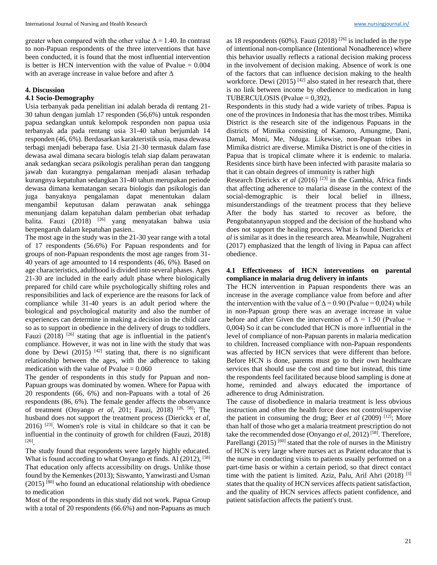greater when compared with the other value  $\Delta = 1.40$ . In contrast to non-Papuan respondents of the three interventions that have been conducted, it is found that the most influential intervention is better is HCN intervention with the value of Pvalue  $= 0.004$ with an average increase in value before and after Δ

#### **4. Discussion**

## **4.1 Socio-Demography**

Usia terbanyak pada penelitian ini adalah berada di rentang 21- 30 tahun dengan jumlah 17 responden (56,6%) untuk responden papua sedangkan untuk kelompok responden non papua usia terbanyak ada pada rentang usia 31-40 tahun berjumlah 14 responden (46, 6%). Berdasarkan karakteristik usia, masa dewasa terbagi menjadi beberapa fase. Usia 21-30 termasuk dalam fase dewasa awal dimana secara biologis telah siap dalam perawatan anak sedangkan secara psikologis peralihan peran dan tanggung jawab dan kurangnya pengalaman menjadi alasan terhadap kurangnya kepatuhan sedangkan 31-40 tahun merupakan periode dewasa dimana kematangan secara biologis dan psikologis dan juga banyaknya pengalaman dapat menentukan dalam mengambil keputusan dalam perawatan anak sehingga menunjang dalam kepatuhan dalam pemberian obat terhadap balita. Fauzi (2018) [26] yang menyatakan bahwa usia berpengaruh dalam kepatuhan pasien..

The most age in the study was in the 21-30 year range with a total of 17 respondents (56.6%) For Papuan respondents and for groups of non-Papuan respondents the most age ranges from 31- 40 years of age amounted to 14 respondents (46, 6%). Based on age characteristics, adulthood is divided into several phases. Ages 21-30 are included in the early adult phase where biologically prepared for child care while psychologically shifting roles and responsibilities and lack of experience are the reasons for lack of compliance while 31-40 years is an adult period where the biological and psychological maturity and also the number of experiences can determine in making a decision in the child care so as to support in obedience in the delivery of drugs to toddlers. Fauzi  $(2018)$  <sup>[26]</sup> stating that age is influential in the patient's compliance. However, it was not in line with the study that was done by Dewi (2015)  $[42]$  stating that, there is no significant relationship between the ages, with the adherence to taking medication with the value of Pvalue  $= 0.060$ 

The gender of respondents in this study for Papuan and non-Papuan groups was dominated by women. Where for Papua with 20 respondents (66, 6%) and non-Papuans with a total of 26 respondents (86, 6%). The female gender affects the observance of treatment (Onyango *et al*, 201; Fauzi, 2018) [26, 58] ; The husband does not support the treatment process (Dierickx *et al*, 2016) [23]. Women's role is vital in childcare so that it can be influential in the continuity of growth for children (Fauzi, 2018) [26] .

The study found that respondents were largely highly educated. What is found according to what Onyango et finds. Al (2012), [58] That education only affects accessibility on drugs. Unlike those found by the Kemenkes (2013); Siswanto, Yanwirasti and Usman  $(2015)$ <sup>[80]</sup> who found an educational relationship with obedience to medication

Most of the respondents in this study did not work. Papua Group with a total of 20 respondents (66.6%) and non-Papuans as much

as 18 respondents (60%). Fauzi (2018) <sup>[26]</sup> is included in the type of intentional non-compliance (Intentional Nonadherence) where this behavior usually reflects a rational decision making process in the involvement of decision making. Absence of work is one of the factors that can influence decision making to the health workforce. Dewi (2015)  $[42]$  also stated in her research that, there is no link between income by obedience to medication in lung TUBERCULOSIS (Pvalue = 0,392),

Respondents in this study had a wide variety of tribes. Papua is one of the provinces in Indonesia that has the most tribes. Mimika District is the research site of the indigenous Papuans in the districts of Mimika consisting of Kamoro, Amungme, Dani, Damal, Moni, Me, Nduga. Likewise, non-Papuan tribes in Mimika district are diverse. Mimika District is one of the cities in Papua that is tropical climate where it is endemic to malaria. Residents since birth have been infected with parasite malaria so that it can obtain degrees of immunity is rather high

Research Dierickx *et al* (2016) [23] in the Gambia, Africa finds that affecting adherence to malaria disease in the context of the social-demographic is their local belief in illness, misunderstandings of the treatment process that they believe After the body has started to recover as before, the Pengobatannyapun stopped and the decision of the husband who does not support the healing process. What is found Dierickx *et al* is similar as it does in the research area. Meanwhile, Nugraheni (2017) emphasized that the length of living in Papua can affect obedience.

## **4.1 Effectiveness of HCN interventions on parental compliance in malaria drug delivery in infants**

The HCN intervention in Papuan respondents there was an increase in the average compliance value from before and after the intervention with the value of  $\Delta = 0.90$  (Pvalue = 0,024) while in non-Papuan group there was an average increase in value before and after Given the intervention of  $\Delta = 1.50$  (Pvalue = 0,004) So it can be concluded that HCN is more influential in the level of compliance of non-Papuan parents in malaria medication to children. Increased compliance with non-Papuan respondents was affected by HCN services that were different than before. Before HCN is done, parents must go to their own healthcare services that should use the cost and time but instead, this time the respondents feel facilitated because blood sampling is done at home, reminded and always educated the importance of adherence to drug Administration.

The cause of disobedience in malaria treatment is less obvious instruction and often the health force does not control/supervise the patient in consuming the drug; Beer *et al* (2009) [12]; More than half of those who get a malaria treatment prescription do not take the recommended dose (Onyango *et al*, 2012) [58] . Therefore, Parellangi (2015)<sup>[60]</sup> stated that the role of nurses in the Ministry of HCN is very large where nurses act as Patient educator that is the nurse in conducting visits to patients usually performed on a part-time basis or within a certain period, so that direct contact time with the patient is limited. Aziz, Palu, Aril Ahri (2018)<sup>[3]</sup> states that the quality of HCN services affects patient satisfaction, and the quality of HCN services affects patient confidence, and patient satisfaction affects the patient's trust.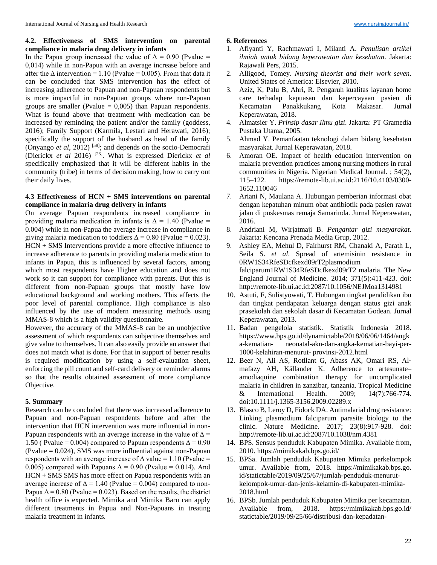## **4.2. Effectiveness of SMS intervention on parental compliance in malaria drug delivery in infants**

In the Papua group increased the value of  $\Delta = 0.90$  (Pvalue = 0,014) while in non-Papua with an average increase before and after the  $\Delta$  intervention = 1.10 (Pvalue = 0.005). From that data it can be concluded that SMS intervention has the effect of increasing adherence to Papuan and non-Papuan respondents but is more impactful in non-Papuan groups where non-Papuan groups are smaller (Pvalue  $= 0,005$ ) than Papuan respondents. What is found above that treatment with medication can be increased by reminding the patient and/or the family (goddess, 2016); Family Support (Karmila, Lestari and Herawati, 2016); specifically the support of the husband as head of the family (Onyango *et al*, 2012) [58]; and depends on the socio-Democrafi (Dierickx *et al* 2016) [23]. What is expressed Dierickx *et al* specifically emphasized that it will be different habits in the community (tribe) in terms of decision making, how to carry out their daily lives.

## **4.3 Effectiveness of HCN + SMS interventions on parental compliance in malaria drug delivery in infants**

On average Papuan respondents increased compliance in providing malaria medication in infants is  $\Delta = 1.40$  (Pvalue = 0.004) while in non-Papua the average increase in compliance in giving malaria medication to toddlers  $\Delta = 0.80$  (Pvalue = 0.023). HCN + SMS Interventions provide a more effective influence to increase adherence to parents in providing malaria medication to infants in Papua, this is influenced by several factors, among which most respondents have Higher education and does not work so it can support for compliance with parents. But this is different from non-Papuan groups that mostly have low educational background and working mothers. This affects the poor level of parental compliance. High compliance is also influenced by the use of modern measuring methods using MMAS-8 which is a high validity questionnaire.

However, the accuracy of the MMAS-8 can be an unobjective assessment of which respondents can subjective themselves and give value to themselves. It can also easily provide an answer that does not match what is done. For that in support of better results is required modification by using a self-evaluation sheet, enforcing the pill count and self-card delivery or reminder alarms so that the results obtained assessment of more compliance Objective.

## **5. Summary**

Research can be concluded that there was increased adherence to Papuan and non-Papuan respondents before and after the intervention that HCN intervention was more influential in non-Papuan respondents with an average increase in the value of  $\Delta$  = 1.50 ( Pvalue = 0.004) compared to Papuan respondents  $\Delta$  = 0.90 (Pvalue = 0.024), SMS was more influential against non-Papuan respondents with an average increase of  $\Delta$  value = 1.10 (Pvalue = 0.005) compared with Papuans  $\Delta = 0.90$  (Pvalue = 0.014). And HCN + SMS SMS has more effect on Papua respondents with an average increase of  $\Delta = 1.40$  (Pvalue = 0.004) compared to non-Papua  $\Delta$  = 0.80 (Pvalue = 0.023). Based on the results, the district health office is expected. Mimika and Mimika Baru can apply different treatments in Papua and Non-Papuans in treating malaria treatment in infants.

#### **6. References**

- 1. Afiyanti Y, Rachmawati I, Milanti A. *Penulisan artikel ilmiah untuk bidang keperawatan dan kesehatan*. Jakarta: Rajawali Pers, 2015.
- 2. Alligood, Tomey. *Nursing theorist and their work seven*. United States of America: Elsevier, 2010.
- 3. Aziz, K, Palu B, Ahri, R. Pengaruh kualitas layanan home care terhadap kepuasan dan kepercayaan pasien di Kecamatan Panakkukang Kota Makasar. Jurnal Keperawatan, 2018.
- 4. Almatsier Y. *Prinsip dasar Ilmu gizi*. Jakarta: PT Gramedia Pustaka Utama, 2005.
- 5. Ahmad Y. Pemanfaatan teknologi dalam bidang kesehatan masyarakat. Jurnal Keperawatan, 2018.
- 6. Amoran OE. Impact of health education intervention on malaria prevention practices among nursing mothers in rural communities in Nigeria. Nigerian Medical Journal. ; 54(2), 115–122. https://remote-lib.ui.ac.id:2116/10.4103/0300- 1652.110046
- 7. Ariani N, Maulana A. Hubungan pemberian informasi obat dengan kepatuhan minum obat antibiotik pada pasien rawat jalan di puskesmas remaja Samarinda. Jurnal Keperawatan, 2016.
- 8. Andriani M, Wirjatmaji B. *Pengantar gizi masyarakat*. Jakarta: Kencana Prenada Media Grup, 2012.
- 9. Ashley EA, Mehul D, Fairhurst RM, Chanaki A, Parath L, Seila S. *et al*. Spread of artemisinin resistance in 0RW1S34RfeSDcfkexd09rT2plasmodium falciparum1RW1S34RfeSDcfkexd09rT2 malaria. The New England Journal of Medicine. 2014; 371(5):411-423. doi: http://remote-lib.ui.ac.id:2087/10.1056/NEJMoa1314981
- 10. Astuti, F, Sulistyowati, T. Hubungan tingkat pendidikan ibu dan tingkat pendapatan keluarga dengan status gizi anak prasekolah dan sekolah dasar di Kecamatan Godean. Jurnal Keperawatan, 2013.
- 11. Badan pengelola statistik. Statistik Indonesia 2018. https://www.bps.go.id/dynamictable/2018/06/06/1464/angk a-kematian- neonatal-akn-dan-angka-kematian-bayi-per-1000-kelahiran-menurut- provinsi-2012.html
- 12. Beer N, Ali AS, Rotllant G, Abass AK, Omari RS, Al‐ mafazy AH, Källander K. Adherence to artesunate– amodiaquine combination therapy for uncomplicated malaria in children in zanzibar, tanzania. Tropical Medicine & International Health. 2009; 14(7):766-774. doi:10.1111/j.1365-3156.2009.02289.x
- 13. Blasco B, Leroy D, Fidock DA. Antimalarial drug resistance: Linking plasmodium falciparum parasite biology to the clinic. Nature Medicine. 2017; 23(8):917-928. doi: http://remote-lib.ui.ac.id:2087/10.1038/nm.4381
- 14. BPS. Sensus penduduk Kabupaten Mimika. Available from, 2010. https://mimikakab.bps.go.id/
- 15. BPSa. Jumlah penduduk Kabupaten Mimika perkelompok umur. Available from, 2018. https://mimikakab.bps.go. id/statictable/2019/09/25/67/jumlah-penduduk-menurutkelompok-umur-dan-jenis-kelamin-di-kabupaten-mimika-2018.html
- 16. BPSb. Jumlah penduduk Kabupaten Mimika per kecamatan. Available from, 2018. https://mimikakab.bps.go.id/ statictable/2019/09/25/66/distribusi-dan-kepadatan-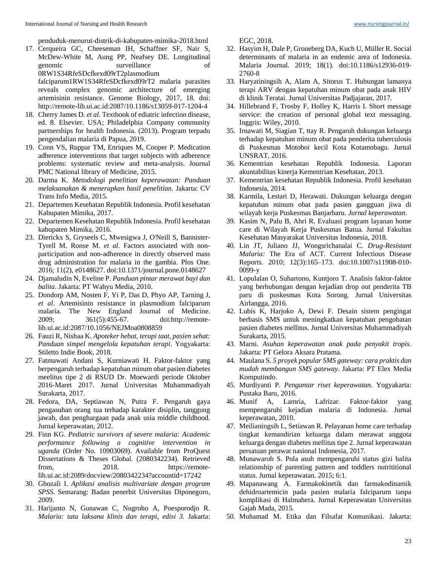penduduk-menurut-distrik-di-kabupaten-mimika-2018.html

17. Cerqueira GC, Cheeseman IH, Schaffner SF, Nair S, McDew-White M, Aung PP, Neafsey DE. Longitudinal genomic surveillance of 0RW1S34RfeSDcfkexd09rT2plasmodium falciparum1RW1S34RfeSDcfkexd09rT2 malaria parasites reveals complex genomic architecture of emerging

artemisinin resistance. Genome Biology, 2017, 18. doi: http://remote-lib.ui.ac.id:2087/10.1186/s13059-017-1204-4

- 18. Cherry James D. *et al.* Textbook of ediatric infection disease, ed. 8. Elsevier. USA; Philadelphia Company community partnerships for health Indonesia. (2013). Program terpadu pengendalian malaria di Papua, 2019.
- 19. Conn VS, Ruppar TM, Enriques M, Cooper P. Medication adherence interventions that target subjects with adherence problems: systematic review and meta-analysis. Journal PMC National library of Medicine, 2015.
- 20. Darma K. *Metodologi penelitian keperawatan: Panduan melaksanakan & menerapkan hasil penelitian.* Jakarta: CV Trans Info Media, 2015.
- 21. Departemen Kesehatan Republik Indonesia. Profil kesehatan Kabupaten Mimika, 2017.
- 22. Departemen Kesehatan Republik Indonesia. Profil kesehatan kabupaten Mimika, 2016.
- 23. Dierickx S, Gryseels C, Mwesigwa J, O'Neill S, Bannister-Tyrell M. Ronse M. *et al.* Factors associated with nonparticipation and non-adherence in directly observed mass drug administration for malaria in the gambia. Plos One. 2016; 11(2), e0148627. doi:10.1371/journal.pone.0148627
- 24. Djamaludin N, Eveline P. *Panduan pintar merawat bayi dan balita*. Jakarta: PT Wahyu Media, 2010.
- 25. Dondorp AM, Nosten F, Yi P, Das D, Phyo AP, Tarning J, *et al*. Artemisinin resistance in plasmodium falciparum malaria. The New England Journal of Medicine. 2009; 361(5):455-67. doi:http://remotelib.ui.ac.id:2087/10.1056/NEJMoa0808859
- 26. Fauzi R, Nishaa K. *Apoteker hebat, terapi taat, pasien sehat: Panduan simpel mengelola kepatuhan terapi*. Yogyakarta: Stiletto Indie Book, 2018.
- 27. Fatmawati Andani S, Kurniawati H. Faktor-faktor yang berpengaruh terhadap kepatuhan minum obat pasien diabetes meelitus tipe 2 di RSUD Dr. Moewardi periode Oktober 2016-Maret 2017. Jurnal Universitas Muhammadiyah Surakarta, 2017.
- 28. Fedora, DA, Septiawan N, Putra F. Pengaruh gaya pengasuhan orang tua terhadap karakter disiplin, tanggung jawab, dan penghargaan pada anak usia middle childhood. Jurnal keperawatan, 2012.
- 29. Finn KG. *Pediatric survivors of severe malaria: Academic performance following a cognitive intervention in uganda* (Order No. 10903069). Available from ProQuest Dissertations & Theses Global. (2080342234). Retrieved from, 2018. https://remotelib.ui.ac.id:2089/docview/2080342234?accountid=17242
- 30. Ghozali I. *Aplikasi analisis multivariate dengan program SPSS*. Semarang: Badan penerbit Universitas Diponegoro, 2009.
- 31. Harijanto N, Gunawan C, Nugroho A, Poesporodjo R. *Malaria: tata laksana klinis dan terapi, edisi 3.* Jakarta:

EGC, 2018.

- 32. Hasyim H, Dale P, Groneberg DA, Kuch U, Müller R. Social determinants of malaria in an endemic area of Indonesia. Malaria Journal. 2019; 18(1). doi:10.1186/s12936-019- 2760-8
- 33. Haryatiningsih A, Alam A, Sitorus T. Hubungan lamanya terapi ARV dengan kepatuhan minum obat pada anak HIV di klinik Teratai. Jurnal Universitas Padjajaran, 2017.
- 34. Hillebrand F, Trosby F, Holley K, Harris I. Short message service: the creation of personal global text messaging. Inggris: Wiley, 2010.
- 35. Irnawati M, Siagian T, ttay R. Pengaruh dukungan keluarga terhadap kepatuhan minum obat pada penderita tuberculosis di Puskesmas Motoboi kecil Kota Kotamobagu. Jurnal UNSRAT, 2016.
- 36. Kementrian kesehatan Republik Indonesia. Laporan akuntabilitas kinerja Kementrian Kesehatan, 2013.
- 37. Kementrian kesehatan Republik Indonesia. Profil kesehatan Indonesia, 2014.
- 38. Karmila, Lestari D, Herawati. Dukungan keluarga dengan kepatuhan minum obat pada pasien gangguan jiwa di wilayah kerja Puskesmas Banjarbaru. *Jurnal keperawatan*.
- 39. Kasim N, Palu B, Ahri R. Evaluasi program layanan home care di Wilayah Kerja Puskesmas Batua. Jurnal Fakultas Kesehatan Masyarakat Universitas Indonesia, 2018.
- 40. Lin JT, Juliano JJ, Wongsrichanalai C. *Drug-Resistant Malaria:* The Era of ACT. Current Infectious Disease Reports. 2010; 12(3):165–173. doi:10.1007/s11908-010- 0099-y
- 41. Lopulalan O, Suhartono, Kuntjoro T. Analisis faktor-faktor yang berhubungan dengan kejadian drop out penderita TB paru di puskesmas Kota Sorong. Jurnal Universitas Airlangga, 2016.
- 42. Lubis K, Harjoko A, Dewi F. Desain sistem pengingat berbasis SMS untuk meningkatkan kepatuhan pengobatan pasien diabetes mellitus. Jurnal Universitas Muhammadiyah Surakarta, 2015.
- 43. Marni. *Asuhan keperawatan anak pada penyakit tropis*. Jakarta: PT Gelora Aksara Pratama.
- 44. Maulana S. *5 proyek popular SMS gateway: cara praktis dan mudah membangun SMS gateway*. Jakarta: PT Elex Media Komputindo.
- 45. Murdiyanti P. *Pengantar riset keperawatan*. Yogyakarta: Pustaka Baru, 2016.
- 46. Munif A, Lamria, Lafrizar. Faktor-faktor yang mempengaruhi kejadian malaria di Indonesia. Jurnal keperawatan, 2010.
- 47. Meilianingsih L, Setiawan R. Pelayanan home care terhadap tingkat kemandirian keluarga dalam merawat anggota keluarga dengan diabetes mellitus tipe 2. Jurnal keperawatan persatuan perawat nasional Indonesia*,* 2017*.*
- 48. Munawaroh S. Pola asuh mempengaruhi status gizi balita relationship of parenting pattern and toddlers nutrititional status. Jurnal keperawatan. 2015; 6:1*.*
- 49. Mapanawang A. Farmakokinetik dan farmakodinamik dehidroartemicin pada pasien malaria falciparum tanpa komplikasi di Halmahera*.* Jurnal Keperawatan Universitas Gajah Mada*,* 2015*.*
- 50. Muhamad M. Etika dan Filsafat Komunikasi. Jakarta: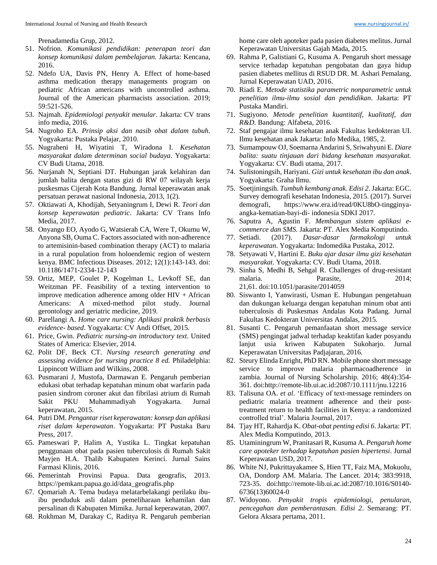- 51. Nofrion. *Komunikasi pendidikan: penerapan teori dan konsep komunikasi dalam pembelajaran.* Jakarta: Kencana, 2016.
- 52. Ndefo UA, Davis PN, Henry A. Effect of home-based asthma medication therapy managements program on pediatric African americans with uncontrolled asthma. Journal of the American pharmacists association. 2019; 59:521-526.
- 53. Najmah. *Epidemiologi penyakit menular*. Jakarta: CV trans info media, 2016.
- 54. Nugroho EA. *Prinsip aksi dan nasib obat dalam tubuh*. Yogyakarta: Pustaka Pelajar, 2010.
- 55. Nugraheni H, Wiyatini T, Wiradona I. *Kesehatan masyarakat dalam determinan social budaya*. Yogyakarta: CV Budi Utama, 2018.
- 56. Nurjanah N, Septiani DT. Hubungan jarak kelahiran dan jumlah balita dengan status gizi di RW 07 wilayah kerja puskesmas Cijerah Kota Bandung. Jurnal keperawatan anak persatuan perawat nasional Indonesia, 2013, 1(2).
- 57. Oktiawati A, Khodijah, Setyaningrum I, Dewi R. *Teori dan konsep keperawatan pediatric*. Jakarta: CV Trans Info Media, 2017.
- 58. Onyango EO, Ayodo G, Watsierah CA, Were T, Okumu W, Anyona SB, Ouma C. Factors associated with non-adherence to artemisinin-based combination therapy (ACT) to malaria in a rural population from holoendemic region of western kenya. BMC Infectious Diseases. 2012; 12(1):143-143. doi: 10.1186/1471-2334-12-143
- 59. Ortiz, MEP, Goulet P, Kogelman L, Levkoff SE, dan Weitzman PF. Feasibility of a texting intervention to improve medication adherence among older  $HIV + African$ Americans: A mixed-method pilot study. Journal gerontology and geriatric medicine, 2019.
- 60. Parellangi A. *Home care nursing: Aplikasi praktik berbasis evidence- based*. Yogyakarta: CV Andi Offset, 2015.
- 61. Price, Gwin. *Pediatric nursing-an introductory text*. United States of America: Elsevier, 2014.
- 62. Polit DF, Beck CT. *Nursing research generating and assessing evidence for nursing practice 8 ed.* Philadelphia: Lippincott William and Wilkins, 2008.
- 63. Pusmarani J, Mustofa, Darmawan E. Pengaruh pemberian edukasi obat terhadap kepatuhan minum obat warfarin pada pasien sindrom coroner akut dan fibrilasi atrium di Rumah Sakit PKU Muhammadiyah Yogyakarta. Jurnal keperawatan, 2015.
- 64. Putri DM. *Pengantar riset keperawatan: konsep dan aplikasi riset dalam keperawatan*. Yogyakarta: PT Pustaka Baru Press, 2017.
- 65. Pameswari P, Halim A, Yustika L. Tingkat kepatuhan penggunaan obat pada pasien tuberculosis di Rumah Sakit Mayjen H.A. Thalib Kabupaten Kerinci. Jurnal Sains Farmasi Klinis*,* 2016*.*
- 66. Pemerintah Provinsi Papua. Data geografis, 2013. https://pemkam.papua.go.id/data\_geografis.php
- 67. Qomariah A. Tema budaya melatarbelakangi perilaku ibuibu penduduk asli dalam pemeliharaan kehamilan dan persalinan di Kabupaten Mimika. Jurnal keperawatan*,* 2007*.*
- 68. Rokhman M, Darakay C, Raditya R. Pengaruh pemberian

home care oleh apoteker pada pasien diabetes melitus. Jurnal Keperawatan Universitas Gajah Mada, 2015*.*

- 69. Rahma P, Galistiani G, Kusuma A. Pengaruh short message service terhadap kepatuhan pengobatan dan gaya hidup pasien diabetes mellitus di RSUD DR. M. Ashari Pemalang. Jurnal Keperawatan UAD, 2016.
- 70. Riadi E. *Metode statistika parametric nonparametric untuk penelitian ilmu-ilmu sosial dan pendidikan*. Jakarta: PT Pustaka Mandiri.
- 71. Sugiyono. *Metode penelitian kuantitatif, kualitatif, dan R&D*. Bandung: Alfabeta, 2016.
- 72. Staf pengajar ilmu kesehatan anak Fakultas kedokteran UI. Ilmu kesehatan anak Jakarta: Info Medika, 1985, 2.
- 73. Sumampouw OJ, Soemarna Andarini S, Sriwahyuni E. *Diare balita: suatu tinjauan dari bidang kesehatan masyarakat.*  Yogyakarta: CV. Budi utama, 2017.
- 74. Sulistoningsih, Hariyani. *Gizi untuk kesehatan ibu dan anak*. Yogyakarta: Graha Ilmu.
- 75. Soetjiningsih. *Tumbuh kembang anak*. *Edisi 2*. Jakarta: EGC. Survey demografi kesehatan Indonesia, 2015. (2017). Survei demografi, https://www.era.id/read/0KU8bO-tingginyaangka-kematian-bayi-di- indonesia SDKI 2017.
- 76. Saputra A, Agustin F. *Membangun sistem aplikasi ecommerce dan SMS.* Jakarta: PT. Alex Media Komputindo.
- 77. Setiadi. (2017). *Dasar-dasar farmakologi untuk keperawatan*. Yogyakarta: Indomedika Pustaka, 2012.
- 78. Setyawati V, Hartini E. *Buku ajar dasar ilmu gizi kesehatan masyarakat*. Yogyakarta: CV. Budi Utama, 2018.
- 79. Sinha S, Medhi B, Sehgal R. Challenges of drug-resistant malaria. Parasite, 2014; 21,61. doi:10.1051/parasite/2014059
- 80. Siswanto I, Yanwirasti, Usman E. Hubungan pengetahuan dan dukungan keluarga dengan kepatuhan minum obat anti tuberculosis di Puskesmas Andalas Kota Padang. Jurnal Fakultas Kedokteran Universitas Andalas*,* 2015*.*
- 81. Susanti C. Pengaruh pemanfaatan short message service (SMS) pengingat jadwal terhadap keaktifan kader posyandu lanjut usia kriwen Kabupaten Sukoharjo. Jurnal Keperawatan Universitas Padjajaran*,* 2016*.*
- 82. Steury Elinda Enright, PhD RN. Mobile phone short message service to improve malaria pharmacoadherence in zambia. Journal of Nursing Scholarship. 2016; 48(4):354- 361. doi:http://remote-lib.ui.ac.id:2087/10.1111/jnu.12216
- 83. Talisuna OA. *et al*. 'Efficacy of text-message reminders on pediatric malaria treatment adherence and their posttreatment return to health facilities in Kenya: a randomized controlled trial'. Malaria Journal, 2017.
- 84. Tjay HT, Rahardja K. *Obat-obat penting edisi 6*. Jakarta: PT. Alex Media Komputindo, 2013.
- 85. Utaminingrum W, Pranitasari R, Kusuma A. *Pengaruh home care apoteker terhadap kepatuhan pasien hipertensi*. Jurnal Keperawatan USD, 2017.
- 86. White NJ, Pukrittayakamee S, Hien TT, Faiz MA, Mokuolu, OA, Dondorp AM. Malaria. The Lancet. 2014; 383:9918, 723-35. doi:http://remote-lib.ui.ac.id:2087/10.1016/S0140- 6736(13)60024-0
- 87. Widoyono. *Penyakit tropis epidemiologi, penularan, pencegahan dan pemberantasan. Edisi 2*. Semarang: PT. Gelora Aksara pertama, 2011.